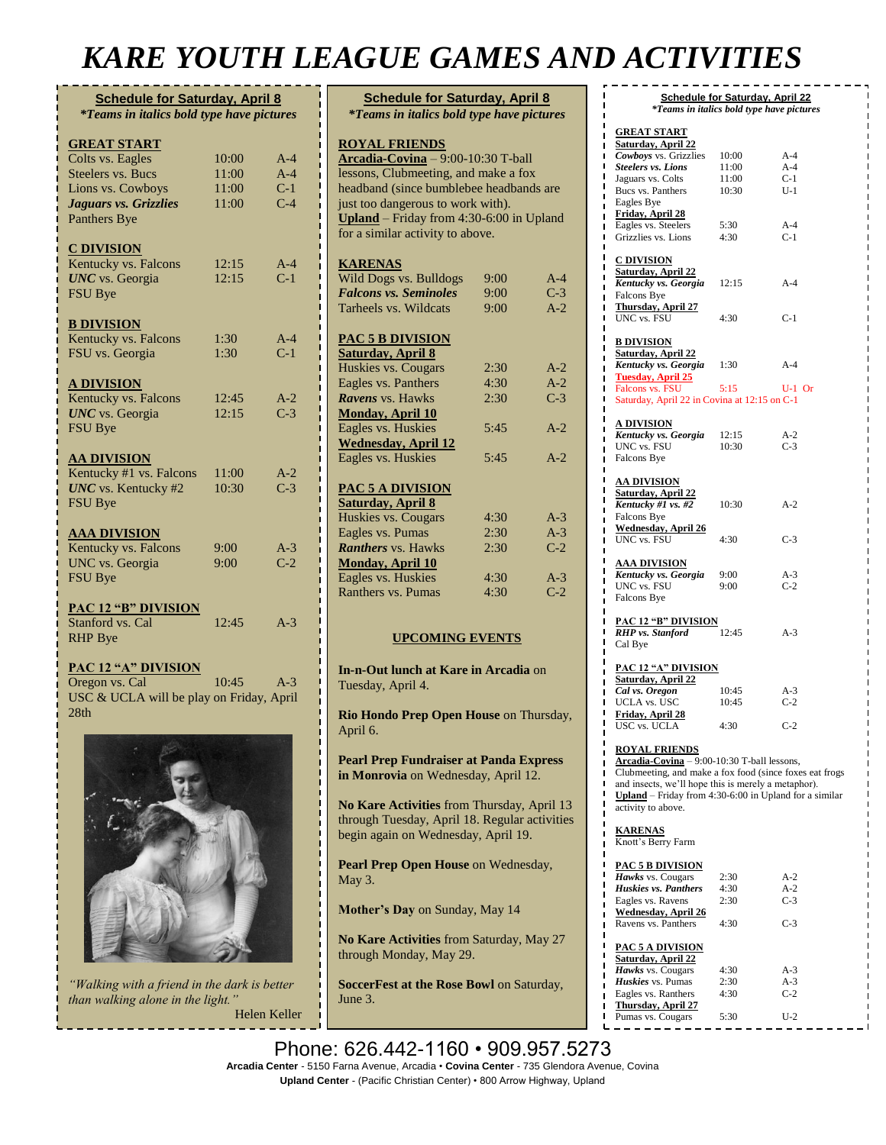## *KARE YOUTH LEAGUE GAMES AND ACTIVITIES*

| <b>Schedule for Saturday, April 8</b><br><i>*Teams in italics bold type have pictures</i> |       |       |  |
|-------------------------------------------------------------------------------------------|-------|-------|--|
| <b>GREAT START</b>                                                                        |       |       |  |
| Colts vs. Eagles                                                                          | 10:00 | $A-4$ |  |
| <b>Steelers vs. Bucs</b>                                                                  | 11:00 | $A-4$ |  |
| Lions vs. Cowboys                                                                         | 11:00 | $C-1$ |  |
| Jaguars vs. Grizzlies                                                                     | 11:00 | $C-4$ |  |
| Panthers Bye                                                                              |       |       |  |
| <b>C DIVISION</b>                                                                         |       |       |  |
| Kentucky vs. Falcons                                                                      | 12:15 | $A-4$ |  |
| <b>UNC</b> vs. Georgia                                                                    | 12:15 | $C-1$ |  |
| <b>FSU</b> Bye                                                                            |       |       |  |
| <b>B DIVISION</b>                                                                         |       |       |  |
| Kentucky vs. Falcons                                                                      | 1:30  | $A-4$ |  |
| FSU vs. Georgia                                                                           | 1:30  | $C-1$ |  |
| <u>A DIVISION</u>                                                                         |       |       |  |
| Kentucky vs. Falcons                                                                      | 12:45 | $A-2$ |  |
| <b>UNC</b> vs. Georgia                                                                    | 12:15 | $C-3$ |  |
| <b>FSU Bye</b>                                                                            |       |       |  |
| <u>AA DIVISION</u>                                                                        |       |       |  |
| Kentucky #1 vs. Falcons                                                                   | 11:00 | $A-2$ |  |
| <b>UNC</b> vs. Kentucky #2                                                                | 10:30 | $C-3$ |  |
| <b>FSU</b> Bye                                                                            |       |       |  |
| <b>AAA DIVISION</b>                                                                       |       |       |  |
| Kentucky vs. Falcons                                                                      | 9:00  | $A-3$ |  |
| <b>UNC</b> vs. Georgia                                                                    | 9:00  | $C-2$ |  |
| <b>FSU Bye</b>                                                                            |       |       |  |
|                                                                                           |       |       |  |
| PAC 12 "B" DIVISION<br>Stanford vs. Cal                                                   | 12:45 | $A-3$ |  |
| <b>RHP</b> Bye                                                                            |       |       |  |
| <b>PAC 12 "A" DIVISION</b>                                                                |       |       |  |
| Oregon vs. Cal                                                                            | 10:45 | $A-3$ |  |

USC & UCLA will be play on Friday, April 28th



*"Walking with a friend in the dark is better than walking alone in the light."*

Helen Keller

| <b>Schedule for Saturday, April 8</b>                                                       |      |       |  |  |  |
|---------------------------------------------------------------------------------------------|------|-------|--|--|--|
| <i>*Teams in italics bold type have pictures</i>                                            |      |       |  |  |  |
|                                                                                             |      |       |  |  |  |
| <b>ROYAL FRIENDS</b>                                                                        |      |       |  |  |  |
| $\textbf{Arcadia-Covina} - 9:00-10:30$ T-ball<br>lessons, Clubmeeting, and make a fox       |      |       |  |  |  |
| headband (since bumblebee headbands are                                                     |      |       |  |  |  |
| just too dangerous to work with).                                                           |      |       |  |  |  |
| Upland - Friday from 4:30-6:00 in Upland                                                    |      |       |  |  |  |
| for a similar activity to above.                                                            |      |       |  |  |  |
|                                                                                             |      |       |  |  |  |
| <b>KARENAS</b>                                                                              |      |       |  |  |  |
| Wild Dogs vs. Bulldogs                                                                      | 9:00 | $A-4$ |  |  |  |
| <b>Falcons vs. Seminoles</b>                                                                | 9:00 | $C-3$ |  |  |  |
| Tarheels vs. Wildcats                                                                       | 9:00 | $A-2$ |  |  |  |
| <b>PAC 5 B DIVISION</b>                                                                     |      |       |  |  |  |
| <b>Saturday, April 8</b>                                                                    |      |       |  |  |  |
| Huskies vs. Cougars                                                                         | 2:30 | $A-2$ |  |  |  |
| Eagles vs. Panthers                                                                         | 4:30 | $A-2$ |  |  |  |
| Ravens vs. Hawks                                                                            | 2:30 | $C-3$ |  |  |  |
| <b>Monday, April 10</b>                                                                     |      |       |  |  |  |
| Eagles vs. Huskies                                                                          | 5:45 | $A-2$ |  |  |  |
| <b>Wednesday, April 12</b>                                                                  |      |       |  |  |  |
| Eagles vs. Huskies                                                                          | 5:45 | $A-2$ |  |  |  |
| PAC 5 A DIVISION                                                                            |      |       |  |  |  |
| <b>Saturday, April 8</b>                                                                    |      |       |  |  |  |
| Huskies vs. Cougars                                                                         | 4:30 | $A-3$ |  |  |  |
| Eagles vs. Pumas                                                                            | 2:30 | $A-3$ |  |  |  |
| <b>Ranthers</b> vs. Hawks                                                                   | 2:30 | $C-2$ |  |  |  |
| <b>Monday, April 10</b>                                                                     |      |       |  |  |  |
| Eagles vs. Huskies                                                                          | 4:30 | $A-3$ |  |  |  |
| Ranthers vs. Pumas                                                                          | 4:30 | $C-2$ |  |  |  |
|                                                                                             |      |       |  |  |  |
| <b>UPCOMING EVENTS</b>                                                                      |      |       |  |  |  |
| In-n-Out lunch at Kare in Arcadia on                                                        |      |       |  |  |  |
| Tuesday, April 4.                                                                           |      |       |  |  |  |
|                                                                                             |      |       |  |  |  |
| Rio Hondo Prep Open House on Thursday,<br>April 6.                                          |      |       |  |  |  |
|                                                                                             |      |       |  |  |  |
| <b>Pearl Prep Fundraiser at Panda Express</b><br>in Monrovia on Wednesday, April 12.        |      |       |  |  |  |
| No Kare Activities from Thursday, April 13<br>through Tuesday, April 18. Regular activities |      |       |  |  |  |
| begin again on Wednesday, April 19.                                                         |      |       |  |  |  |
| Pearl Prep Open House on Wednesday,<br>May 3.                                               |      |       |  |  |  |
| Mother's Day on Sunday, May 14                                                              |      |       |  |  |  |
| No Kare Activities from Saturday, May 27<br>through Monday, May 29.                         |      |       |  |  |  |

**SoccerFest at the Rose Bowl** on Saturday, June 3.

**Summer Schedule begins** on Monday, June

|                                                                                                                      | <b>Schedule for Saturday, April 22</b> | <i>*Teams in italics bold type have pictures</i> |
|----------------------------------------------------------------------------------------------------------------------|----------------------------------------|--------------------------------------------------|
|                                                                                                                      |                                        |                                                  |
| <b>GREAT START</b>                                                                                                   |                                        |                                                  |
| <b>Saturday, April 22</b><br>п<br>Cowboys vs. Grizzlies<br>ı                                                         | 10:00                                  | A-4                                              |
| Π<br><b>Steelers vs. Lions</b>                                                                                       | 11:00                                  | $A-4$                                            |
| ı<br>Jaguars vs. Colts                                                                                               | 11:00                                  | $C-1$                                            |
| ı<br>Bucs vs. Panthers<br>ı                                                                                          | 10:30                                  | $U-1$                                            |
| Eagles Bye<br>ı                                                                                                      |                                        |                                                  |
| Friday, April 28<br>ı<br>Eagles vs. Steelers<br>п                                                                    | 5:30                                   | $A-4$                                            |
| Grizzlies vs. Lions<br>ı                                                                                             | 4:30                                   | $C-1$                                            |
|                                                                                                                      |                                        |                                                  |
| <b>C DIVISION</b><br>ι                                                                                               |                                        |                                                  |
| Saturday, April 22<br>ı                                                                                              |                                        | $A-4$                                            |
| <b>Kentucky vs. Georgia</b> 12:15<br>ı<br>Falcons Bye                                                                |                                        |                                                  |
| ı<br><b>Thursday, April 27</b><br>П                                                                                  |                                        |                                                  |
| UNC vs. FSU                                                                                                          | 4:30                                   | $C-1$                                            |
|                                                                                                                      |                                        |                                                  |
| <b>B DIVISION</b>                                                                                                    |                                        |                                                  |
| <b>Saturday, April 22</b><br><b>Kentucky vs. Georgia</b> 1:30                                                        |                                        | $A-4$                                            |
| <b>Tuesday, April 25</b><br>ı                                                                                        |                                        |                                                  |
| Falcons vs. FSU<br>ı                                                                                                 | 5:15                                   | $U-1$ Or                                         |
| ı<br>Saturday, April 22 in Covina at 12:15 on C-1                                                                    |                                        |                                                  |
|                                                                                                                      |                                        |                                                  |
| <b>A DIVISION</b><br>Kentucky vs. Georgia                                                                            | 12:15                                  | $A-2$                                            |
| ı<br>UNC vs. FSU                                                                                                     | 10:30                                  | $C-3$                                            |
| Falcons Bye                                                                                                          |                                        |                                                  |
|                                                                                                                      |                                        |                                                  |
| <u>AA DIVISION</u>                                                                                                   |                                        |                                                  |
| <b>Saturday, April 22</b><br>Kentucky # $1 \overline{vs.  #2}$                                                       | 10:30                                  |                                                  |
| Π<br>Falcons Bye                                                                                                     |                                        | $A-2$                                            |
| <u>Wednesday, April 26</u>                                                                                           |                                        |                                                  |
| UNC vs. FSU                                                                                                          | 4:30                                   | $C-3$                                            |
|                                                                                                                      |                                        |                                                  |
| <u>AAA DIVISION</u>                                                                                                  |                                        |                                                  |
| Kentucky vs. Georgia<br>ı<br>UNC vs. FSU                                                                             | 9:00<br>9:00                           | $A-3$<br>$C-2$                                   |
| Falcons Bye                                                                                                          |                                        |                                                  |
|                                                                                                                      |                                        |                                                  |
| <b>PAC 12 "B" DIVISION</b>                                                                                           |                                        |                                                  |
| <b>RHP</b> vs. Stanford<br>Cal Bye                                                                                   | 12:45                                  | $A-3$                                            |
|                                                                                                                      |                                        |                                                  |
| <b>PAC 12 "A" DIVISION</b>                                                                                           |                                        |                                                  |
| <b>Saturday, April 22</b>                                                                                            |                                        |                                                  |
| Cal vs. Oregon                                                                                                       | 10:45                                  | $A-3$                                            |
| UCLA vs. USC                                                                                                         | 10:45                                  | $C-2$                                            |
| Friday, April 28<br>USC vs. UCLA                                                                                     | 4:30                                   | $C-2$                                            |
|                                                                                                                      |                                        |                                                  |
| <b>ROYAL FRIENDS</b>                                                                                                 |                                        |                                                  |
| Arcadia-Covina - 9:00-10:30 T-ball lessons,                                                                          |                                        |                                                  |
| Clubmeeting, and make a fox food (since foxes eat frogs)<br>and insects, we'll hope this is merely a metaphor).<br>ı |                                        |                                                  |
| ı<br><b>Upland</b> – Friday from 4:30-6:00 in Upland for a similar                                                   |                                        |                                                  |
| activity to above.                                                                                                   |                                        |                                                  |
| Π<br>П                                                                                                               |                                        |                                                  |
| <b>KARENAS</b>                                                                                                       |                                        |                                                  |
| Knott's Berry Farm<br>Π                                                                                              |                                        |                                                  |
| П<br>Π<br><b>PAC 5 B DIVISION</b>                                                                                    |                                        |                                                  |
| ı<br>Hawks vs. Cougars                                                                                               | 2:30                                   | $A-2$                                            |
| ı<br>Huskies vs. Panthers<br>ı                                                                                       | 4:30                                   | $A-2$                                            |
| Eagles vs. Ravens<br>ı                                                                                               | 2:30                                   | $C-3$                                            |
| <b>Wednesday, April 26</b><br>ı                                                                                      |                                        |                                                  |
| Ravens vs. Panthers<br>ı                                                                                             | 4:30                                   | $C-3$                                            |
| ı<br><b>PAC 5 A DIVISION</b>                                                                                         |                                        |                                                  |
| Π<br><b>Saturday, April 22</b>                                                                                       |                                        |                                                  |
| Π<br>Hawks vs. Cougars<br>П                                                                                          | 4:30                                   | A-3                                              |
| Huskies vs. Pumas                                                                                                    | 2:30                                   | $A-3$                                            |
| Eagles vs. Ranthers                                                                                                  | 4:30                                   | $C-2$                                            |

**Thursday, April 27**

 $\blacksquare$ 

Pumas vs. Cougars 5:30 U-2